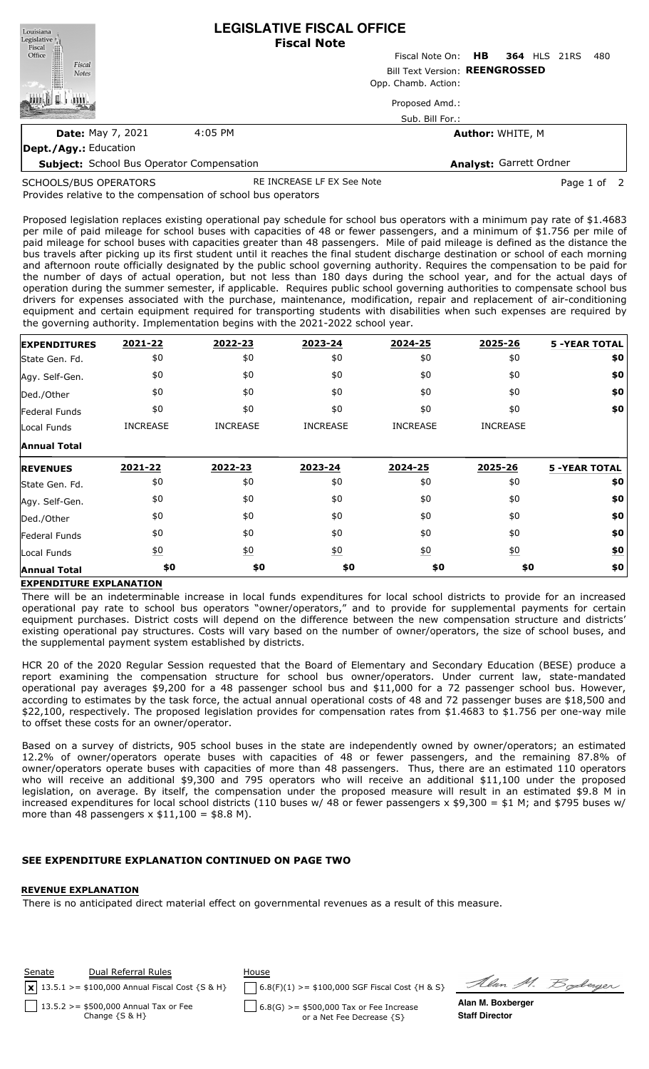| Louisiana<br>Legislative                             | <b>LEGISLATIVE FISCAL OFFICE</b> |                                 |                                |  |     |  |  |
|------------------------------------------------------|----------------------------------|---------------------------------|--------------------------------|--|-----|--|--|
|                                                      |                                  | <b>Fiscal Note</b>              |                                |  |     |  |  |
|                                                      |                                  | Fiscal Note On: HB 364 HLS 21RS |                                |  | 480 |  |  |
| Fiscal<br>Office<br>Christ<br>Fiscal<br><b>Notes</b> | Bill Text Version: REENGROSSED   |                                 |                                |  |     |  |  |
|                                                      |                                  | Opp. Chamb. Action:             |                                |  |     |  |  |
|                                                      |                                  | Proposed Amd.:                  |                                |  |     |  |  |
|                                                      |                                  | Sub. Bill For.:                 |                                |  |     |  |  |
| <b>Date: May 7, 2021</b>                             | 4:05 PM                          |                                 | <b>Author: WHITE, M</b>        |  |     |  |  |
| <b>Dept./Agy.: Education</b>                         |                                  |                                 |                                |  |     |  |  |
| <b>Subject:</b> School Bus Operator Compensation     |                                  |                                 | <b>Analyst: Garrett Ordner</b> |  |     |  |  |

SCHOOLS/BUS OPERATORS

RE INCREASE LF EX See Note **Page 1 of 2** 

Provides relative to the compensation of school bus operators

Proposed legislation replaces existing operational pay schedule for school bus operators with a minimum pay rate of \$1.4683 per mile of paid mileage for school buses with capacities of 48 or fewer passengers, and a minimum of \$1.756 per mile of paid mileage for school buses with capacities greater than 48 passengers. Mile of paid mileage is defined as the distance the bus travels after picking up its first student until it reaches the final student discharge destination or school of each morning and afternoon route officially designated by the public school governing authority. Requires the compensation to be paid for the number of days of actual operation, but not less than 180 days during the school year, and for the actual days of operation during the summer semester, if applicable. Requires public school governing authorities to compensate school bus drivers for expenses associated with the purchase, maintenance, modification, repair and replacement of air-conditioning equipment and certain equipment required for transporting students with disabilities when such expenses are required by the governing authority. Implementation begins with the 2021-2022 school year.

| <b>EXPENDITURES</b> | 2021-22           | 2022-23          | 2023-24           | 2024-25          | 2025-26          | <b>5 -YEAR TOTAL</b> |
|---------------------|-------------------|------------------|-------------------|------------------|------------------|----------------------|
| State Gen. Fd.      | \$0               | \$0              | \$0               | \$0              | \$0              | \$0                  |
| Agy. Self-Gen.      | \$0               | \$0              | \$0               | \$0              | \$0              | \$0                  |
| Ded./Other          | \$0               | \$0              | \$0               | \$0              | \$0              | \$0                  |
| Federal Funds       | \$0               | \$0              | \$0               | \$0              | \$0              | \$0                  |
| Local Funds         | <b>INCREASE</b>   | <b>INCREASE</b>  | <b>INCREASE</b>   | <b>INCREASE</b>  | <b>INCREASE</b>  |                      |
| <b>Annual Total</b> |                   |                  |                   |                  |                  |                      |
| <b>REVENUES</b>     | 2021-22           | 2022-23          | 2023-24           | 2024-25          | 2025-26          | <b>5 -YEAR TOTAL</b> |
| State Gen. Fd.      | \$0               | \$0              | \$0               | \$0              | \$0              | \$0                  |
| Agy. Self-Gen.      | \$0               | \$0              | \$0               | \$0              | \$0              | \$0                  |
| Ded./Other          | \$0               | \$0              | \$0               | \$0              | \$0              | \$0                  |
| Federal Funds       | \$0               | \$0              | \$0               | \$0              | \$0              | \$0                  |
| Local Funds         | $\underline{\$0}$ | $\underline{40}$ | $\underline{\$0}$ | $\underline{50}$ | $\underline{50}$ | <u>\$0</u>           |
|                     |                   |                  |                   |                  |                  |                      |

## **EXPENDITURE EXPLANATION**

There will be an indeterminable increase in local funds expenditures for local school districts to provide for an increased operational pay rate to school bus operators "owner/operators," and to provide for supplemental payments for certain equipment purchases. District costs will depend on the difference between the new compensation structure and districts' existing operational pay structures. Costs will vary based on the number of owner/operators, the size of school buses, and the supplemental payment system established by districts.

HCR 20 of the 2020 Regular Session requested that the Board of Elementary and Secondary Education (BESE) produce a report examining the compensation structure for school bus owner/operators. Under current law, state-mandated operational pay averages \$9,200 for a 48 passenger school bus and \$11,000 for a 72 passenger school bus. However, according to estimates by the task force, the actual annual operational costs of 48 and 72 passenger buses are \$18,500 and \$22,100, respectively. The proposed legislation provides for compensation rates from \$1.4683 to \$1.756 per one-way mile to offset these costs for an owner/operator.

Based on a survey of districts, 905 school buses in the state are independently owned by owner/operators; an estimated 12.2% of owner/operators operate buses with capacities of 48 or fewer passengers, and the remaining 87.8% of owner/operators operate buses with capacities of more than 48 passengers. Thus, there are an estimated 110 operators who will receive an additional \$9,300 and 795 operators who will receive an additional \$11,100 under the proposed legislation, on average. By itself, the compensation under the proposed measure will result in an estimated \$9.8 M in increased expenditures for local school districts (110 buses w/ 48 or fewer passengers  $\times$  \$9,300 = \$1 M; and \$795 buses w/ more than 48 passengers  $x$  \$11,100 = \$8.8 M).

## SEE EXPENDITURE EXPLANATION CONTIN

## **REVENUE EXPLANATION**

There is no anticipated direct material effect on governmental revenues as a result of this measure.